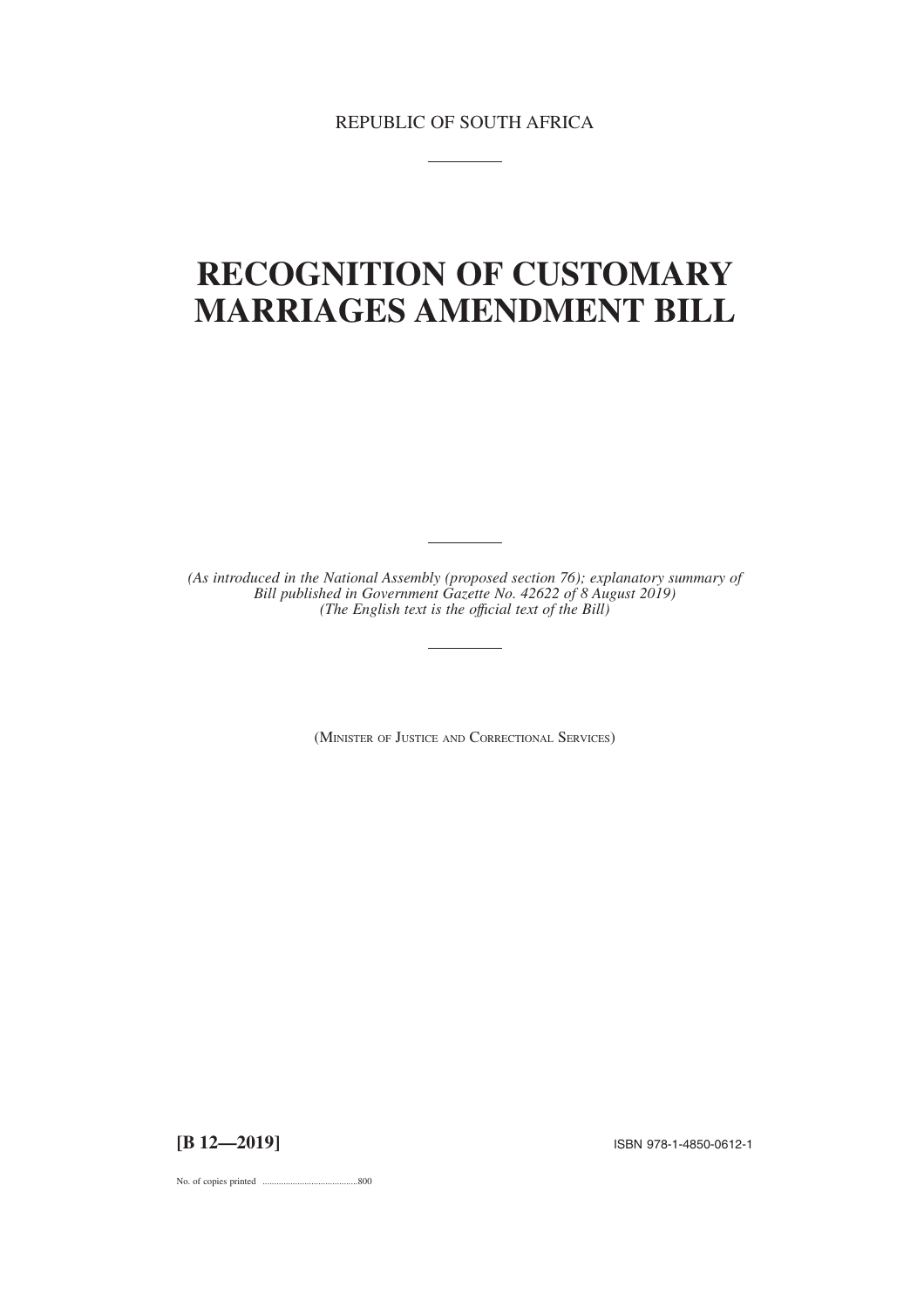# **RECOGNITION OF CUSTOMARY MARRIAGES AMENDMENT BILL**

*(As introduced in the National Assembly (proposed section 76); explanatory summary of Bill published in Government Gazette No. 42622 of 8 August 2019) (The English text is the offıcial text of the Bill)*

(MINISTER OF JUSTICE AND CORRECTIONAL SERVICES)

**[B 12—2019]** ISBN 978-1-4850-0612-1

No. of copies printed .........................................800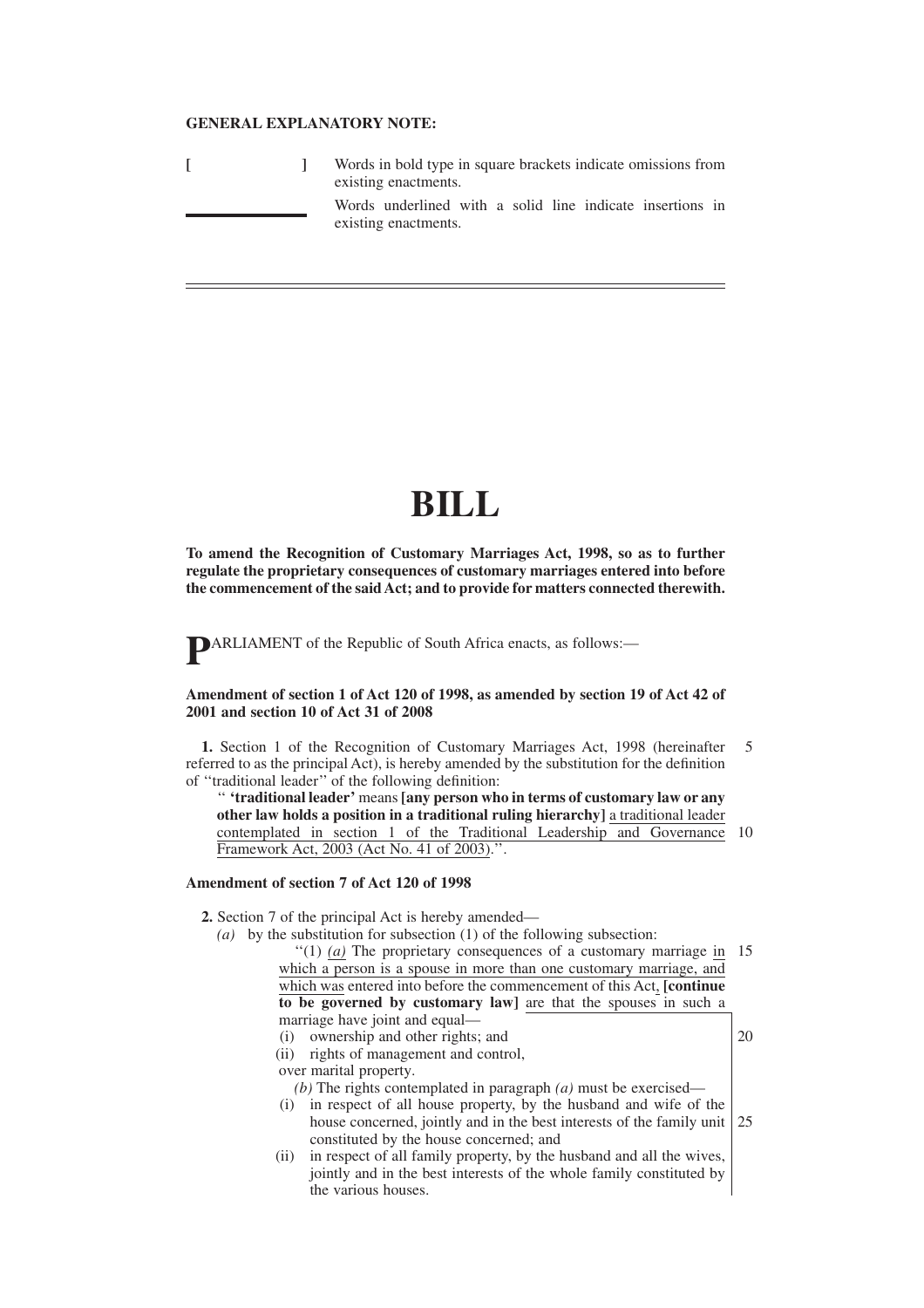### **GENERAL EXPLANATORY NOTE:**

|  | Words in bold type in square brackets indicate omissions from<br>existing enactments. |
|--|---------------------------------------------------------------------------------------|
|  | Words underlined with a solid line indicate insertions in<br>existing enactments.     |

## **BILL**

**To amend the Recognition of Customary Marriages Act, 1998, so as to further regulate the proprietary consequences of customary marriages entered into before the commencement of the said Act; and to provide for matters connected therewith.**

**P**ARLIAMENT of the Republic of South Africa enacts, as follows:—

#### **Amendment of section 1 of Act 120 of 1998, as amended by section 19 of Act 42 of 2001 and section 10 of Act 31 of 2008**

**1.** Section 1 of the Recognition of Customary Marriages Act, 1998 (hereinafter referred to as the principal Act), is hereby amended by the substitution for the definition of ''traditional leader'' of the following definition: 5

'' **'traditional leader'** means **[any person who in terms of customary law or any other law holds a position in a traditional ruling hierarchy]** a traditional leader contemplated in section 1 of the Traditional Leadership and Governance 10 Framework Act, 2003 (Act No. 41 of 2003).''.

#### **Amendment of section 7 of Act 120 of 1998**

**2.** Section 7 of the principal Act is hereby amended—

*(a)* by the substitution for subsection (1) of the following subsection: "(1) (a) The proprietary consequences of a customary marriage in 15

which a person is a spouse in more than one customary marriage, and which was entered into before the commencement of this Act, **[continue to be governed by customary law]** are that the spouses in such a marriage have joint and equal—

20

- (i) ownership and other rights; and
- (ii) rights of management and control,

over marital property.

- *(b)* The rights contemplated in paragraph *(a)* must be exercised—
- (i) in respect of all house property, by the husband and wife of the house concerned, jointly and in the best interests of the family unit constituted by the house concerned; and 25
- (ii) in respect of all family property, by the husband and all the wives, jointly and in the best interests of the whole family constituted by the various houses.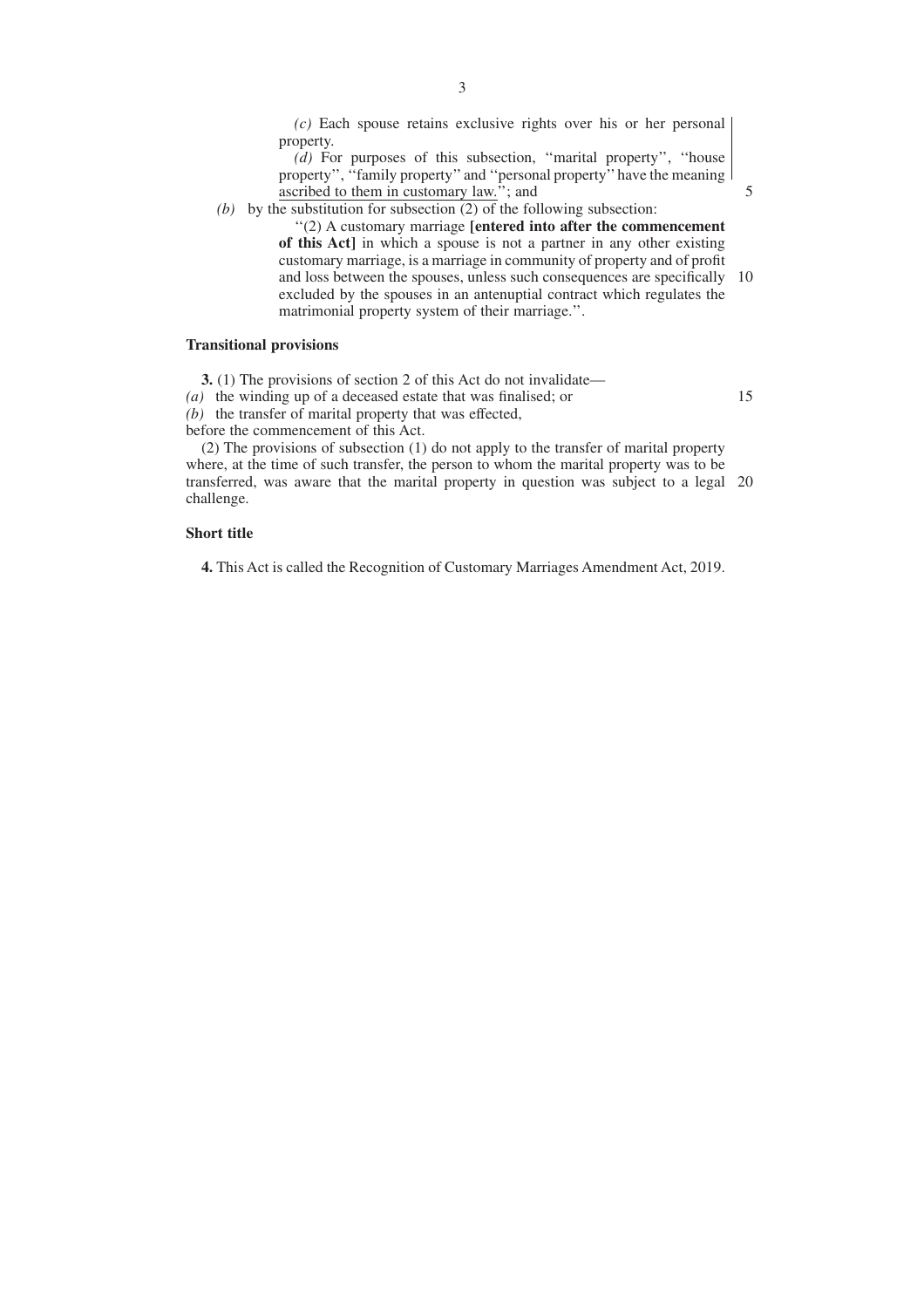*(c)* Each spouse retains exclusive rights over his or her personal property.

*(d)* For purposes of this subsection, ''marital property'', ''house property'', ''family property''and ''personal property''have the meaning ascribed to them in customary law.''; and

5

15

*(b)* by the substitution for subsection (2) of the following subsection: ''(2) A customary marriage **[entered into after the commencement**

**of this Act]** in which a spouse is not a partner in any other existing customary marriage, is a marriage in community of property and of profit and loss between the spouses, unless such consequences are specifically excluded by the spouses in an antenuptial contract which regulates the matrimonial property system of their marriage.''. 10

#### **Transitional provisions**

**3.** (1) The provisions of section 2 of this Act do not invalidate—

*(a)* the winding up of a deceased estate that was finalised; or

*(b)* the transfer of marital property that was effected,

before the commencement of this Act.

(2) The provisions of subsection (1) do not apply to the transfer of marital property where, at the time of such transfer, the person to whom the marital property was to be transferred, was aware that the marital property in question was subject to a legal 20challenge.

### **Short title**

**4.** This Act is called the Recognition of Customary Marriages Amendment Act, 2019.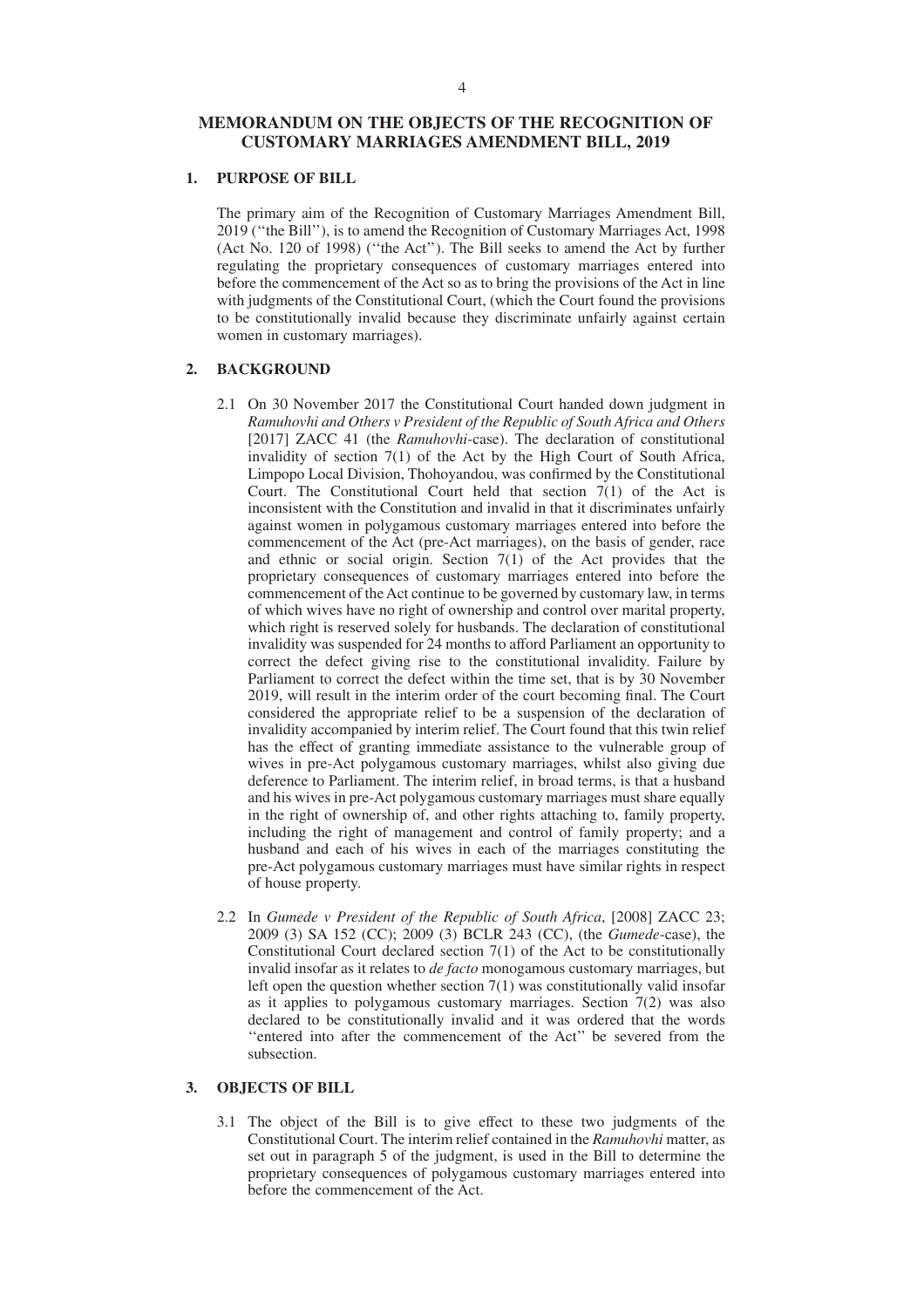# 4

## **MEMORANDUM ON THE OBJECTS OF THE RECOGNITION OF CUSTOMARY MARRIAGES AMENDMENT BILL, 2019**

## **1. PURPOSE OF BILL**

The primary aim of the Recognition of Customary Marriages Amendment Bill, 2019 (''the Bill''), is to amend the Recognition of Customary Marriages Act, 1998 (Act No. 120 of 1998) (''the Act''). The Bill seeks to amend the Act by further regulating the proprietary consequences of customary marriages entered into before the commencement of the Act so as to bring the provisions of the Act in line with judgments of the Constitutional Court, (which the Court found the provisions to be constitutionally invalid because they discriminate unfairly against certain women in customary marriages).

## **2. BACKGROUND**

- 2.1 On 30 November 2017 the Constitutional Court handed down judgment in *Ramuhovhi and Others v President of the Republic of South Africa and Others* [2017] ZACC 41 (the *Ramuhovhi*-case). The declaration of constitutional invalidity of section 7(1) of the Act by the High Court of South Africa, Limpopo Local Division, Thohoyandou, was confirmed by the Constitutional Court. The Constitutional Court held that section  $7(1)$  of the Act is inconsistent with the Constitution and invalid in that it discriminates unfairly against women in polygamous customary marriages entered into before the commencement of the Act (pre-Act marriages), on the basis of gender, race and ethnic or social origin. Section 7(1) of the Act provides that the proprietary consequences of customary marriages entered into before the commencement of the Act continue to be governed by customary law, in terms of which wives have no right of ownership and control over marital property, which right is reserved solely for husbands. The declaration of constitutional invalidity was suspended for 24 months to afford Parliament an opportunity to correct the defect giving rise to the constitutional invalidity. Failure by Parliament to correct the defect within the time set, that is by 30 November 2019, will result in the interim order of the court becoming final. The Court considered the appropriate relief to be a suspension of the declaration of invalidity accompanied by interim relief. The Court found that this twin relief has the effect of granting immediate assistance to the vulnerable group of wives in pre-Act polygamous customary marriages, whilst also giving due deference to Parliament. The interim relief, in broad terms, is that a husband and his wives in pre-Act polygamous customary marriages must share equally in the right of ownership of, and other rights attaching to, family property, including the right of management and control of family property; and a husband and each of his wives in each of the marriages constituting the pre-Act polygamous customary marriages must have similar rights in respect of house property.
- 2.2 In *Gumede v President of the Republic of South Africa*, [2008] ZACC 23; 2009 (3) SA 152 (CC); 2009 (3) BCLR 243 (CC), (the *Gumede*-case), the Constitutional Court declared section 7(1) of the Act to be constitutionally invalid insofar as it relates to *de facto* monogamous customary marriages, but left open the question whether section  $7(1)$  was constitutionally valid insofar as it applies to polygamous customary marriages. Section 7(2) was also declared to be constitutionally invalid and it was ordered that the words ''entered into after the commencement of the Act'' be severed from the subsection.

## **3. OBJECTS OF BILL**

3.1 The object of the Bill is to give effect to these two judgments of the Constitutional Court. The interim relief contained in the *Ramuhovhi* matter, as set out in paragraph 5 of the judgment, is used in the Bill to determine the proprietary consequences of polygamous customary marriages entered into before the commencement of the Act.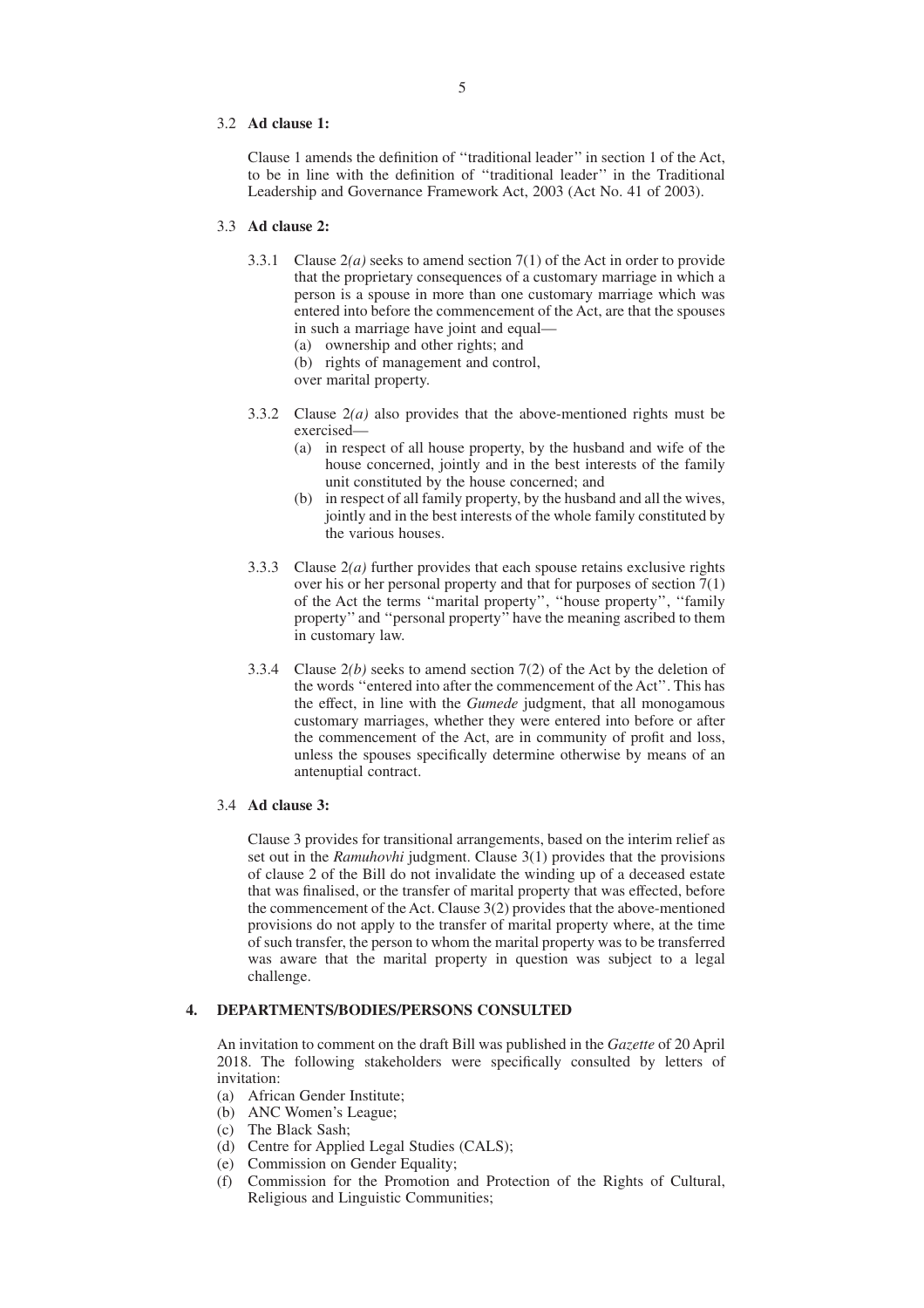#### 3.2 **Ad clause 1:**

Clause 1 amends the definition of ''traditional leader'' in section 1 of the Act, to be in line with the definition of ''traditional leader'' in the Traditional Leadership and Governance Framework Act, 2003 (Act No. 41 of 2003).

#### 3.3 **Ad clause 2:**

- 3.3.1 Clause 2*(a)* seeks to amend section 7(1) of the Act in order to provide that the proprietary consequences of a customary marriage in which a person is a spouse in more than one customary marriage which was entered into before the commencement of the Act, are that the spouses in such a marriage have joint and equal—
	- (a) ownership and other rights; and
	- (b) rights of management and control,
	- over marital property.
- 3.3.2 Clause 2*(a)* also provides that the above-mentioned rights must be exercised—
	- (a) in respect of all house property, by the husband and wife of the house concerned, jointly and in the best interests of the family unit constituted by the house concerned; and
	- (b) in respect of all family property, by the husband and all the wives, jointly and in the best interests of the whole family constituted by the various houses.
- 3.3.3 Clause 2*(a)* further provides that each spouse retains exclusive rights over his or her personal property and that for purposes of section  $7(1)$ of the Act the terms ''marital property'', ''house property'', ''family property'' and ''personal property'' have the meaning ascribed to them in customary law.
- 3.3.4 Clause 2*(b)* seeks to amend section 7(2) of the Act by the deletion of the words ''entered into after the commencement of the Act''. This has the effect, in line with the *Gumede* judgment, that all monogamous customary marriages, whether they were entered into before or after the commencement of the Act, are in community of profit and loss, unless the spouses specifically determine otherwise by means of an antenuptial contract.

### 3.4 **Ad clause 3:**

Clause 3 provides for transitional arrangements, based on the interim relief as set out in the *Ramuhovhi* judgment. Clause 3(1) provides that the provisions of clause 2 of the Bill do not invalidate the winding up of a deceased estate that was finalised, or the transfer of marital property that was effected, before the commencement of the Act. Clause 3(2) provides that the above-mentioned provisions do not apply to the transfer of marital property where, at the time of such transfer, the person to whom the marital property was to be transferred was aware that the marital property in question was subject to a legal challenge.

#### **4. DEPARTMENTS/BODIES/PERSONS CONSULTED**

An invitation to comment on the draft Bill was published in the *Gazette* of 20 April 2018. The following stakeholders were specifically consulted by letters of invitation:

- (a) African Gender Institute;
- (b) ANC Women's League;
- (c) The Black Sash;
- (d) Centre for Applied Legal Studies (CALS);
- (e) Commission on Gender Equality;
- (f) Commission for the Promotion and Protection of the Rights of Cultural, Religious and Linguistic Communities;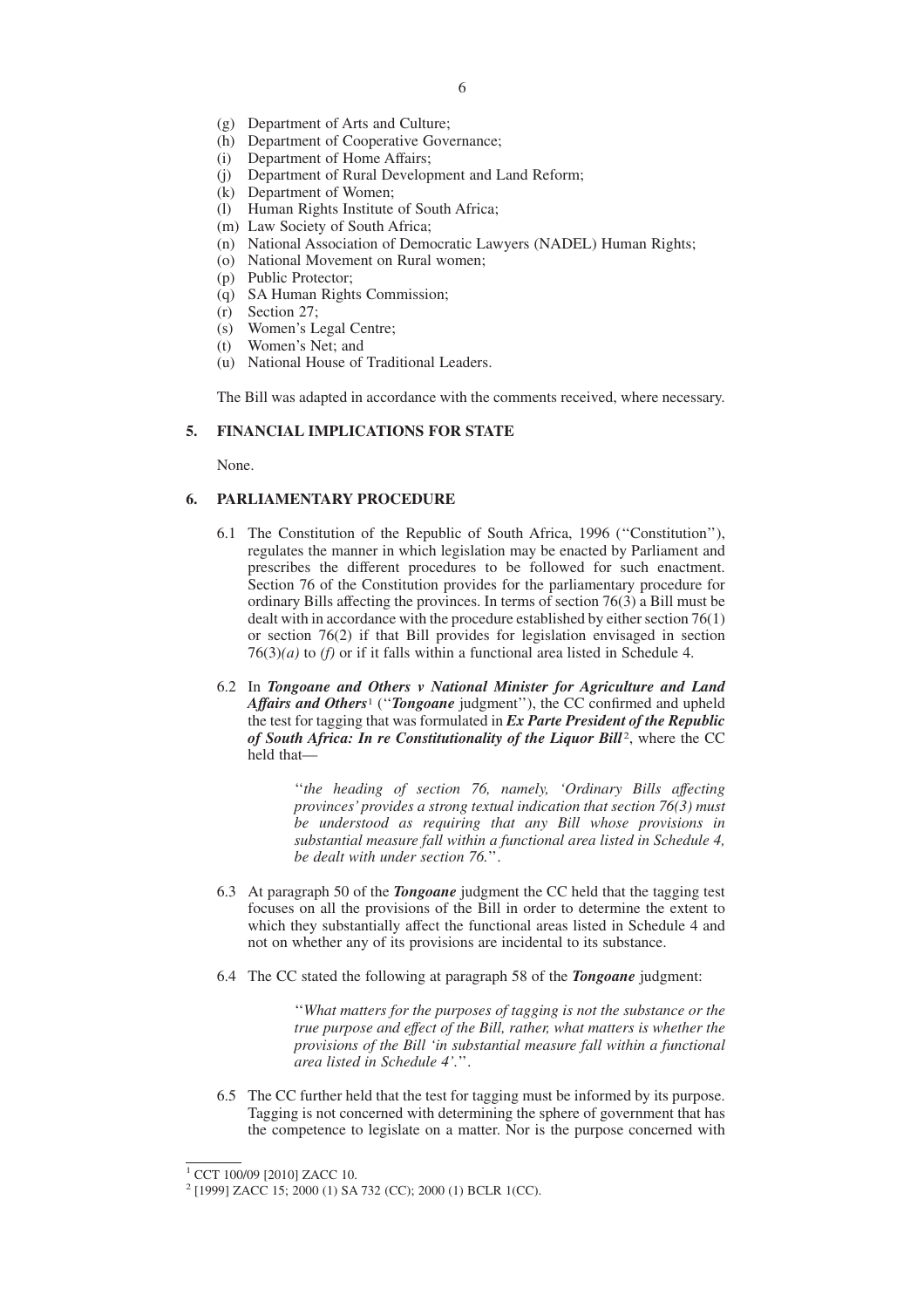- (g) Department of Arts and Culture;
- (h) Department of Cooperative Governance;
- (i) Department of Home Affairs;
- (j) Department of Rural Development and Land Reform;
- (k) Department of Women;
- (l) Human Rights Institute of South Africa;
- (m) Law Society of South Africa;
- (n) National Association of Democratic Lawyers (NADEL) Human Rights;
- (o) National Movement on Rural women;
- (p) Public Protector;
- (q) SA Human Rights Commission;
- (r) Section 27;
- (s) Women's Legal Centre;
- (t) Women's Net; and
- (u) National House of Traditional Leaders.

The Bill was adapted in accordance with the comments received, where necessary.

#### **5. FINANCIAL IMPLICATIONS FOR STATE**

None.

## **6. PARLIAMENTARY PROCEDURE**

- 6.1 The Constitution of the Republic of South Africa, 1996 (''Constitution''), regulates the manner in which legislation may be enacted by Parliament and prescribes the different procedures to be followed for such enactment. Section 76 of the Constitution provides for the parliamentary procedure for ordinary Bills affecting the provinces. In terms of section 76(3) a Bill must be dealt with in accordance with the procedure established by either section 76(1) or section 76(2) if that Bill provides for legislation envisaged in section  $76(3)(a)$  to *(f)* or if it falls within a functional area listed in Schedule 4.
- 6.2 In *Tongoane and Others v National Minister for Agriculture and Land Affairs and Others*<sup>1</sup> (''*Tongoane* judgment''), the CC confirmed and upheld the test for tagging that was formulated in *Ex Parte President of the Republic* of South Africa: In re Constitutionality of the Liquor Bill<sup>2</sup>, where the CC held that—

''*the heading of section 76, namely, 'Ordinary Bills affecting provinces' provides a strong textual indication that section 76(3) must be understood as requiring that any Bill whose provisions in substantial measure fall within a functional area listed in Schedule 4, be dealt with under section 76.*''.

- 6.3 At paragraph 50 of the *Tongoane* judgment the CC held that the tagging test focuses on all the provisions of the Bill in order to determine the extent to which they substantially affect the functional areas listed in Schedule 4 and not on whether any of its provisions are incidental to its substance.
- 6.4 The CC stated the following at paragraph 58 of the *Tongoane* judgment:

''*What matters for the purposes of tagging is not the substance or the true purpose and effect of the Bill, rather, what matters is whether the provisions of the Bill 'in substantial measure fall within a functional area listed in Schedule 4'.*''.

6.5 The CC further held that the test for tagging must be informed by its purpose. Tagging is not concerned with determining the sphere of government that has the competence to legislate on a matter. Nor is the purpose concerned with

<sup>&</sup>lt;sup>1</sup> CCT 100/09 [2010] ZACC 10.

<sup>2</sup> [1999] ZACC 15; 2000 (1) SA 732 (CC); 2000 (1) BCLR 1(CC).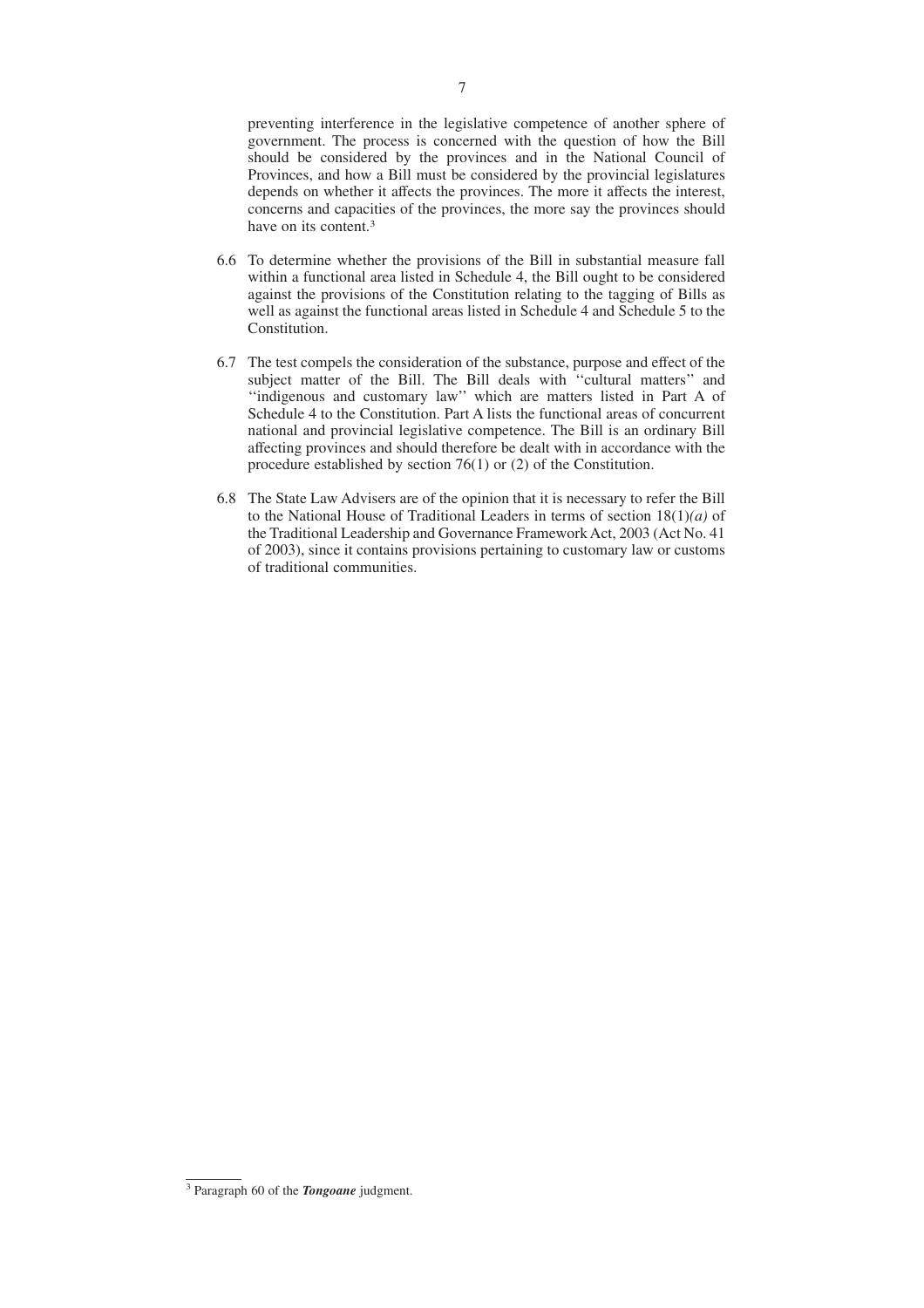preventing interference in the legislative competence of another sphere of government. The process is concerned with the question of how the Bill should be considered by the provinces and in the National Council of Provinces, and how a Bill must be considered by the provincial legislatures depends on whether it affects the provinces. The more it affects the interest, concerns and capacities of the provinces, the more say the provinces should have on its content.3

- 6.6 To determine whether the provisions of the Bill in substantial measure fall within a functional area listed in Schedule 4, the Bill ought to be considered against the provisions of the Constitution relating to the tagging of Bills as well as against the functional areas listed in Schedule 4 and Schedule 5 to the Constitution.
- 6.7 The test compels the consideration of the substance, purpose and effect of the subject matter of the Bill. The Bill deals with ''cultural matters'' and ''indigenous and customary law'' which are matters listed in Part A of Schedule 4 to the Constitution. Part A lists the functional areas of concurrent national and provincial legislative competence. The Bill is an ordinary Bill affecting provinces and should therefore be dealt with in accordance with the procedure established by section 76(1) or (2) of the Constitution.
- 6.8 The State Law Advisers are of the opinion that it is necessary to refer the Bill to the National House of Traditional Leaders in terms of section 18(1)*(a)* of the Traditional Leadership and Governance Framework Act, 2003 (Act No. 41 of 2003), since it contains provisions pertaining to customary law or customs of traditional communities.

<sup>3</sup> Paragraph 60 of the *Tongoane* judgment.